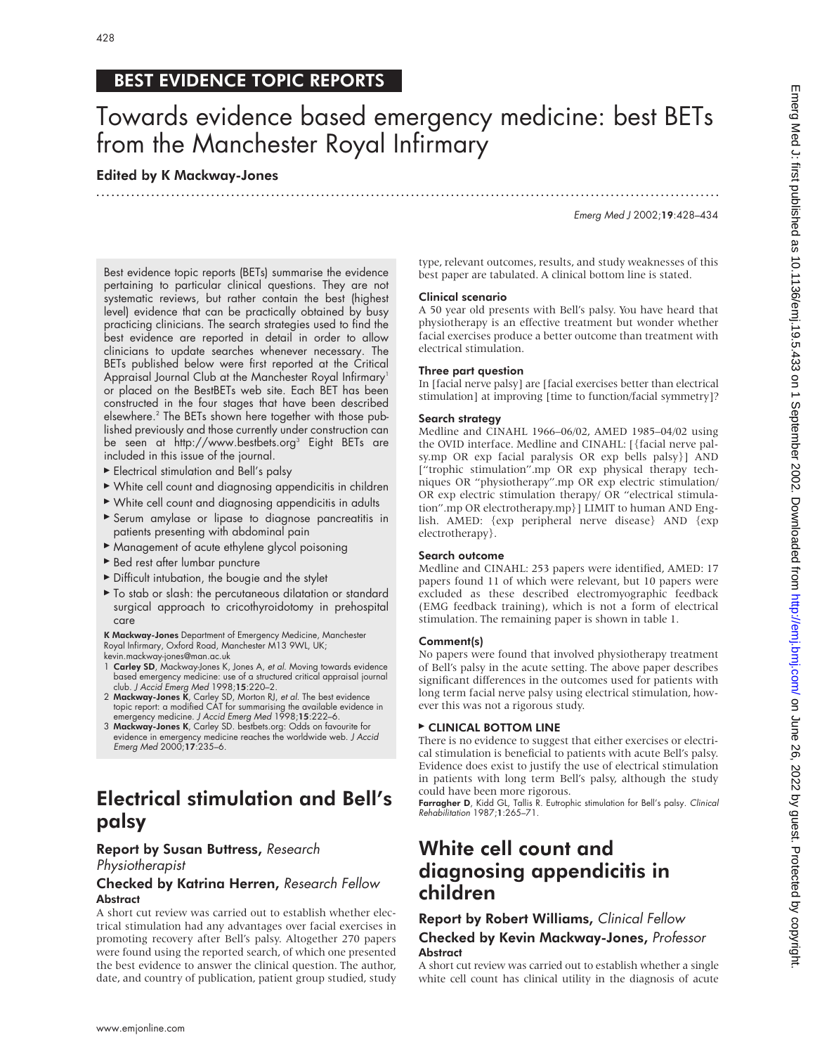# Towards evidence based emergency medicine: best BETs from the Manchester Royal Infirmary

.............................................................................................................................

# Edited by K Mackway-Jones

Emerg Med J 2002;19:428–434

Best evidence topic reports (BETs) summarise the evidence pertaining to particular clinical questions. They are not systematic reviews, but rather contain the best (highest level) evidence that can be practically obtained by busy practicing clinicians. The search strategies used to find the best evidence are reported in detail in order to allow clinicians to update searches whenever necessary. The BETs published below were first reported at the Critical Appraisal Journal Club at the Manchester Royal Infirmary<sup>1</sup> or placed on the BestBETs web site. Each BET has been constructed in the four stages that have been described elsewhere.<sup>2</sup> The BETs shown here together with those published previously and those currently under construction can be seen at http://www.bestbets.org<sup>3</sup> Eight BETs are included in this issue of the journal.

- Electrical stimulation and Bell's palsy
- $\triangleright$  White cell count and diagnosing appendicitis in children
- $\triangleright$  White cell count and diagnosing appendicitis in adults
- Serum amylase or lipase to diagnose pancreatitis in patients presenting with abdominal pain
- $\blacktriangleright$  Management of acute ethylene glycol poisoning
- Bed rest after lumbar puncture
- $\triangleright$  Difficult intubation, the bougie and the stylet
- $\blacktriangleright$  To stab or slash: the percutaneous dilatation or standard surgical approach to cricothyroidotomy in prehospital care

K Mackway-Jones Department of Emergency Medicine, Manchester Royal Infirmary, Oxford Road, Manchester M13 9WL, UK;

- kevin.mackway-jones@man.ac.uk<br>1 **Carley SD**, Mackway-Jones K, Jones A, *et al*. Moving towards evidence based emergency medicine: use of a structured critical appraisal journal club. J Accid Emerg Med 1998;15:220–2.
- 2 Mackway-Jones K, Carley SD, Morton RJ, *et al*. The best evidence<br>topic report: a modified CAT for summarising the available evidence in<br>emergency medicine. *J Accid Emerg Med* 1998;1**5**:222–6.
- 3 Mackway-Jones K, Carley SD. bestbets.org: Odds on favourite for evidence in emergency medicine reaches the worldwide web. J Accid Emerg Med 2000;17:235–6.

# Electrical stimulation and Bell's palsy

# Report by Susan Buttress, Research

Physiotherapist

# Checked by Katrina Herren, Research Fellow **Abstract**

A short cut review was carried out to establish whether electrical stimulation had any advantages over facial exercises in promoting recovery after Bell's palsy. Altogether 270 papers were found using the reported search, of which one presented the best evidence to answer the clinical question. The author, date, and country of publication, patient group studied, study

type, relevant outcomes, results, and study weaknesses of this best paper are tabulated. A clinical bottom line is stated.

# Clinical scenario

A 50 year old presents with Bell's palsy. You have heard that physiotherapy is an effective treatment but wonder whether facial exercises produce a better outcome than treatment with electrical stimulation.

# Three part question

In [facial nerve palsy] are [facial exercises better than electrical stimulation] at improving [time to function/facial symmetry]?

# Search strategy

Medline and CINAHL 1966–06/02, AMED 1985–04/02 using the OVID interface. Medline and CINAHL: [{facial nerve palsy.mp OR exp facial paralysis OR exp bells palsy}] AND ["trophic stimulation".mp OR exp physical therapy techniques OR "physiotherapy".mp OR exp electric stimulation/ OR exp electric stimulation therapy/ OR "electrical stimulation".mp OR electrotherapy.mp}] LIMIT to human AND English. AMED: {exp peripheral nerve disease} AND {exp electrotherapy}.

## Search outcome

Medline and CINAHL: 253 papers were identified, AMED: 17 papers found 11 of which were relevant, but 10 papers were excluded as these described electromyographic feedback (EMG feedback training), which is not a form of electrical stimulation. The remaining paper is shown in table 1.

## Comment(s)

No papers were found that involved physiotherapy treatment of Bell's palsy in the acute setting. The above paper describes significant differences in the outcomes used for patients with long term facial nerve palsy using electrical stimulation, however this was not a rigorous study.

# $\triangleright$  CLINICAL BOTTOM LINE

There is no evidence to suggest that either exercises or electrical stimulation is beneficial to patients with acute Bell's palsy. Evidence does exist to justify the use of electrical stimulation in patients with long term Bell's palsy, although the study could have been more rigorous.

Farragher D, Kidd GL, Tallis R. Eutrophic stimulation for Bell's palsy. Clinical Rehabilitation 1987;1:265–71.

# White cell count and diagnosing appendicitis in children

# Report by Robert Williams, Clinical Fellow Checked by Kevin Mackway-Jones, Professor **Abstract**

A short cut review was carried out to establish whether a single white cell count has clinical utility in the diagnosis of acute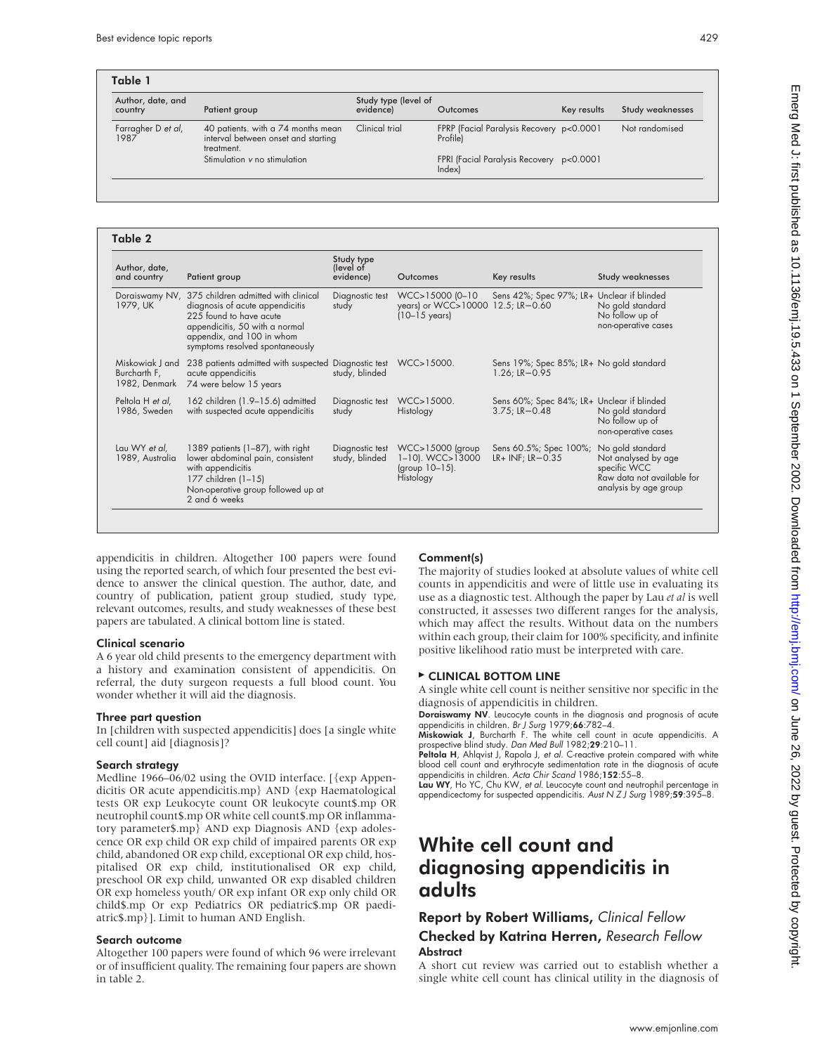| Author, date, and<br>country | Patient group                                                                           | Study type (level of<br>evidence) | Outcomes                                                 | Key results | Study weaknesses |
|------------------------------|-----------------------------------------------------------------------------------------|-----------------------------------|----------------------------------------------------------|-------------|------------------|
| Farragher D et al,<br>1987   | 40 patients. with a 74 months mean<br>interval between onset and starting<br>treatment. | Clinical trial                    | FPRP (Facial Paralysis Recovery p<0.0001<br>Profilel     |             | Not randomised   |
|                              | Stimulation v no stimulation                                                            |                                   | FPRI (Facial Paralysis Recovery p<0.0001<br><b>Index</b> |             |                  |

| Author, date,<br>and country                     | Patient group                                                                                                                                                                                       | Study type<br>(level of<br>evidence) | Outcomes                                                                         | Key results                                                       | Study weaknesses                                                                                               |
|--------------------------------------------------|-----------------------------------------------------------------------------------------------------------------------------------------------------------------------------------------------------|--------------------------------------|----------------------------------------------------------------------------------|-------------------------------------------------------------------|----------------------------------------------------------------------------------------------------------------|
| Doraiswamy NV,<br>1979, UK                       | 375 children admitted with clinical<br>diagnosis of acute appendicitis<br>225 found to have acute<br>appendicitis, 50 with a normal<br>appendix, and 100 in whom<br>symptoms resolved spontaneously | Diagnostic test<br>study             | WCC>15000 (0-10)<br>years) or WCC>10000 12.5; LR-0.60<br>$(10-15 \text{ years})$ | Sens 42%; Spec 97%; LR+ Unclear if blinded                        | No gold standard<br>No follow up of<br>non-operative cases                                                     |
| Miskowiak J and<br>Burcharth F,<br>1982, Denmark | 238 patients admitted with suspected Diagnostic test<br>acute appendicitis<br>74 were below 15 years                                                                                                | study, blinded                       | WCC>15000.                                                                       | Sens 19%; Spec 85%; LR+ No gold standard<br>$1.26$ ; LR- $0.95$   |                                                                                                                |
| Peltola H et al,<br>1986, Sweden                 | 162 children (1.9-15.6) admitted<br>with suspected acute appendicitis                                                                                                                               | Diagnostic test<br>study             | WCC>15000.<br>Histology                                                          | Sens 60%; Spec 84%; LR+ Unclear if blinded<br>$3.75$ ; LR- $0.48$ | No gold standard<br>No follow up of<br>non-operative cases                                                     |
| Lau WY et al,<br>1989, Australia                 | 1389 patients (1-87), with right<br>lower abdominal pain, consistent<br>with appendicitis<br>177 children (1-15)<br>Non-operative group followed up at<br>2 and 6 weeks                             | Diagnostic test<br>study, blinded    | WCC>15000 (group<br>$1-10$ ]. WCC> $13000$<br>(group 10-15).<br>Histology        | Sens 60.5%; Spec 100%;<br>LR+ INF; LR- 0.35                       | No gold standard<br>Not analysed by age<br>specific WCC<br>Raw data not available for<br>analysis by age group |

appendicitis in children. Altogether 100 papers were found using the reported search, of which four presented the best evidence to answer the clinical question. The author, date, and country of publication, patient group studied, study type, relevant outcomes, results, and study weaknesses of these best papers are tabulated. A clinical bottom line is stated.

### Clinical scenario

A 6 year old child presents to the emergency department with a history and examination consistent of appendicitis. On referral, the duty surgeon requests a full blood count. You wonder whether it will aid the diagnosis.

### Three part question

In [children with suspected appendicitis] does [a single white cell count] aid [diagnosis]?

### Search strategy

Medline 1966–06/02 using the OVID interface. [{exp Appendicitis OR acute appendicitis.mp} AND {exp Haematological tests OR exp Leukocyte count OR leukocyte count\$.mp OR neutrophil count\$.mp OR white cell count\$.mp OR inflammatory parameter\$.mp} AND exp Diagnosis AND {exp adolescence OR exp child OR exp child of impaired parents OR exp child, abandoned OR exp child, exceptional OR exp child, hospitalised OR exp child, institutionalised OR exp child, preschool OR exp child, unwanted OR exp disabled children OR exp homeless youth/ OR exp infant OR exp only child OR child\$.mp Or exp Pediatrics OR pediatric\$.mp OR paediatric\$.mp}]. Limit to human AND English.

### Search outcome

Altogether 100 papers were found of which 96 were irrelevant or of insufficient quality. The remaining four papers are shown in table 2.

## Comment(s)

The majority of studies looked at absolute values of white cell counts in appendicitis and were of little use in evaluating its use as a diagnostic test. Although the paper by Lau *et al* is well constructed, it assesses two different ranges for the analysis, which may affect the results. Without data on the numbers within each group, their claim for 100% specificity, and infinite positive likelihood ratio must be interpreted with care.

### $\triangleright$  CLINICAL BOTTOM LINE

A single white cell count is neither sensitive nor specific in the diagnosis of appendicitis in children.

Doraiswamy NV. Leucocyte counts in the diagnosis and prognosis of acute appendicitis in children. *Br J Surg* 1979;**66**:782–4.<br>**Miskowiak J**, Burcharth F. The white cell count in acute appendicitis. A

prospective blind study. Dan Med Bull 1982;29:210–11.

Peltola H, Ahlqvist J, Rapola J, et al. C-reactive protein compared with white blood cell count and erythrocyte sedimentation rate in the diagnosis of acute appendicitis in children. Acta Chir Scand 1986;152:55–8.

Lau WY, Ho YC, Chu KW, et al. Leucocyte count and neutrophil percentage in appendicectomy for suspected appendicitis. Aust N  $ZJ$  Surg 1989;59:395–8.

# White cell count and diagnosing appendicitis in adults

# Report by Robert Williams, Clinical Fellow Checked by Katrina Herren, Research Fellow **Abstract**

A short cut review was carried out to establish whether a single white cell count has clinical utility in the diagnosis of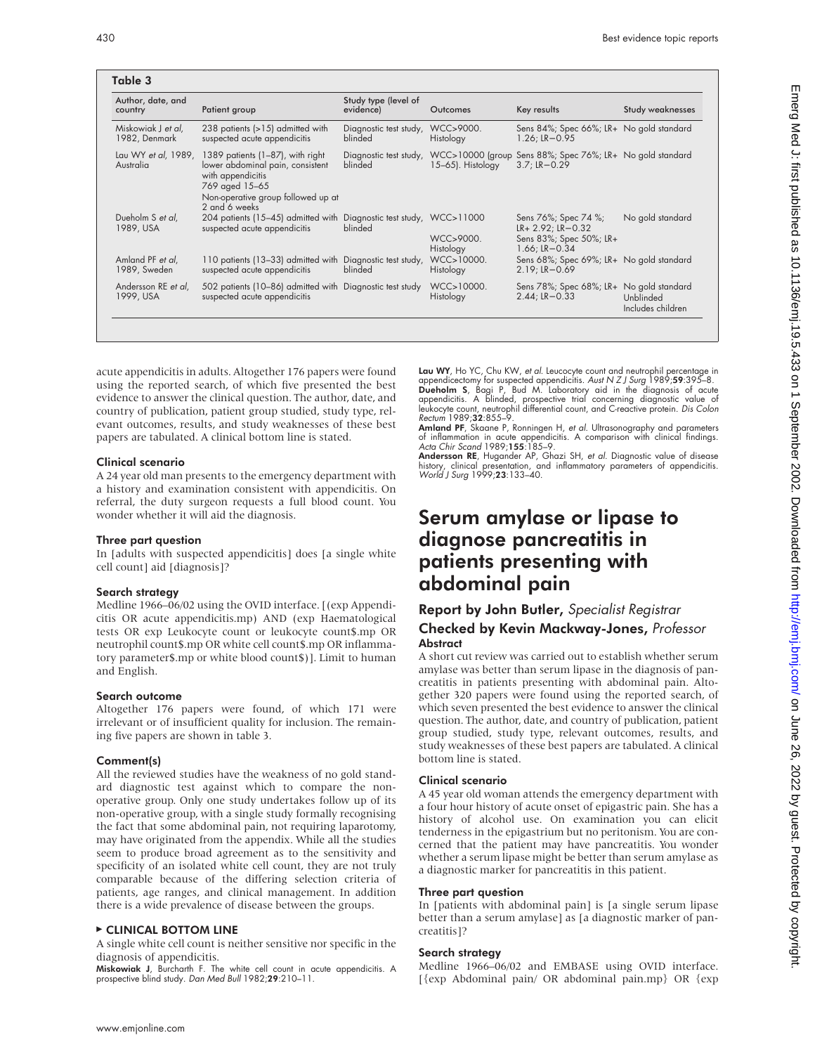| Author, date, and<br>country     | Patient group                                                                                                                                                      | Study type (level of<br>evidence)           | <b>Outcomes</b>        | Key results                                                                                     | Study weaknesses  |
|----------------------------------|--------------------------------------------------------------------------------------------------------------------------------------------------------------------|---------------------------------------------|------------------------|-------------------------------------------------------------------------------------------------|-------------------|
| Miskowiak J et al,               | 238 patients (>15) admitted with                                                                                                                                   | Diagnostic test study,                      | WCC>9000.              | Sens 84%; Spec 66%; LR+ No gold standard                                                        |                   |
| 1982, Denmark                    | suspected acute appendicitis                                                                                                                                       | blinded                                     | Histology              | $1.26$ ; LR-0.95                                                                                |                   |
| Lau WY et al, 1989,<br>Australia | 1389 patients (1-87), with right<br>lower abdominal pain, consistent<br>with appendicitis<br>769 aged 15-65<br>Non-operative group followed up at<br>2 and 6 weeks | Diagnostic test study,<br>blinded           | $15-65$ ). Histology   | WCC>10000 (group Sens 88%; Spec 76%; LR+ No gold standard<br>$3.7$ ; LR- $0.29$                 |                   |
| Dueholm S et al,<br>1989, USA    | 204 patients (15-45) admitted with<br>suspected acute appendicitis                                                                                                 | Diagnostic test study, WCC>11000<br>blinded | WCC>9000.<br>Histology | Sens 76%; Spec 74 %;<br>$LR+2.92$ ; $LR-0.32$<br>Sens 83%; Spec 50%; LR+<br>$1.66$ ; LR- $0.34$ | No gold standard  |
| Amland PF et al,                 | 110 patients (13-33) admitted with                                                                                                                                 | Diagnostic test study,                      | WCC>10000.             | Sens 68%; Spec 69%; LR+ No gold standard                                                        |                   |
| 1989, Sweden                     | suspected acute appendicitis                                                                                                                                       | blinded                                     | Histology              | $2.19$ ; LR-0.69                                                                                |                   |
| Andersson RE et al,              | 502 patients (10-86) admitted with                                                                                                                                 | Diagnostic test study                       | WCC>10000.             | Sens 78%; Spec 68%; LR+ No gold standard                                                        | Unblinded         |
| 1999, USA                        | suspected acute appendicitis                                                                                                                                       |                                             | Histology              | $2.44$ ; LR- $0.33$                                                                             | Includes children |

acute appendicitis in adults. Altogether 176 papers were found using the reported search, of which five presented the best evidence to answer the clinical question. The author, date, and country of publication, patient group studied, study type, relevant outcomes, results, and study weaknesses of these best papers are tabulated. A clinical bottom line is stated.

### Clinical scenario

A 24 year old man presents to the emergency department with a history and examination consistent with appendicitis. On referral, the duty surgeon requests a full blood count. You wonder whether it will aid the diagnosis.

### Three part question

In [adults with suspected appendicitis] does [a single white cell count] aid [diagnosis]?

### Search strategy

Medline 1966–06/02 using the OVID interface. [(exp Appendicitis OR acute appendicitis.mp) AND (exp Haematological tests OR exp Leukocyte count or leukocyte count\$.mp OR neutrophil count\$.mp OR white cell count\$.mp OR inflammatory parameter\$.mp or white blood count\$)]. Limit to human and English.

### Search outcome

Altogether 176 papers were found, of which 171 were irrelevant or of insufficient quality for inclusion. The remaining five papers are shown in table 3.

### Comment(s)

All the reviewed studies have the weakness of no gold standard diagnostic test against which to compare the nonoperative group. Only one study undertakes follow up of its non-operative group, with a single study formally recognising the fact that some abdominal pain, not requiring laparotomy, may have originated from the appendix. While all the studies seem to produce broad agreement as to the sensitivity and specificity of an isolated white cell count, they are not truly comparable because of the differing selection criteria of patients, age ranges, and clinical management. In addition there is a wide prevalence of disease between the groups.

### $\triangleright$  CLINICAL BOTTOM LINE

A single white cell count is neither sensitive nor specific in the diagnosis of appendicitis.

Miskowiak J, Burcharth F. The white cell count in acute appendicitis. A prospective blind study. Dan Med Bull 1982;29:210–11.

**Lau WY**, Ho YC, Chu KW, *et al.* Leucocyte count and neutrophil percentage in appendicectomy for suspected appendicitis. Aust N Z J Surg 1989;59:395–8. Dueholm S, Bagi P, Bul M. Labratory aid in the diagnosis of acute app

Amland PF, Skaane P, Ronningen H, et al. Ultrasonography and parameters of inflammation in acute appendicitis. A comparison with clinical findings.<br>*Acta* C*hir Scand* 1989;**155**:185–9.

Andersson RE, Hugander AP, Ghazi SH, et al. Diagnostic value of disease history, clinical presentation, and inflammatory parameters of appendicitis. World J Surg 1999;23:133–40.

# Serum amylase or lipase to diagnose pancreatitis in patients presenting with abdominal pain

# Report by John Butler, Specialist Registrar Checked by Kevin Mackway-Jones, Professor **Abstract**

A short cut review was carried out to establish whether serum amylase was better than serum lipase in the diagnosis of pancreatitis in patients presenting with abdominal pain. Altogether 320 papers were found using the reported search, of which seven presented the best evidence to answer the clinical question. The author, date, and country of publication, patient group studied, study type, relevant outcomes, results, and study weaknesses of these best papers are tabulated. A clinical bottom line is stated.

### Clinical scenario

A 45 year old woman attends the emergency department with a four hour history of acute onset of epigastric pain. She has a history of alcohol use. On examination you can elicit tenderness in the epigastrium but no peritonism. You are concerned that the patient may have pancreatitis. You wonder whether a serum lipase might be better than serum amylase as a diagnostic marker for pancreatitis in this patient.

### Three part question

In [patients with abdominal pain] is [a single serum lipase better than a serum amylase] as [a diagnostic marker of pancreatitis]?

### Search strategy

Medline 1966–06/02 and EMBASE using OVID interface. [{exp Abdominal pain/ OR abdominal pain.mp} OR {exp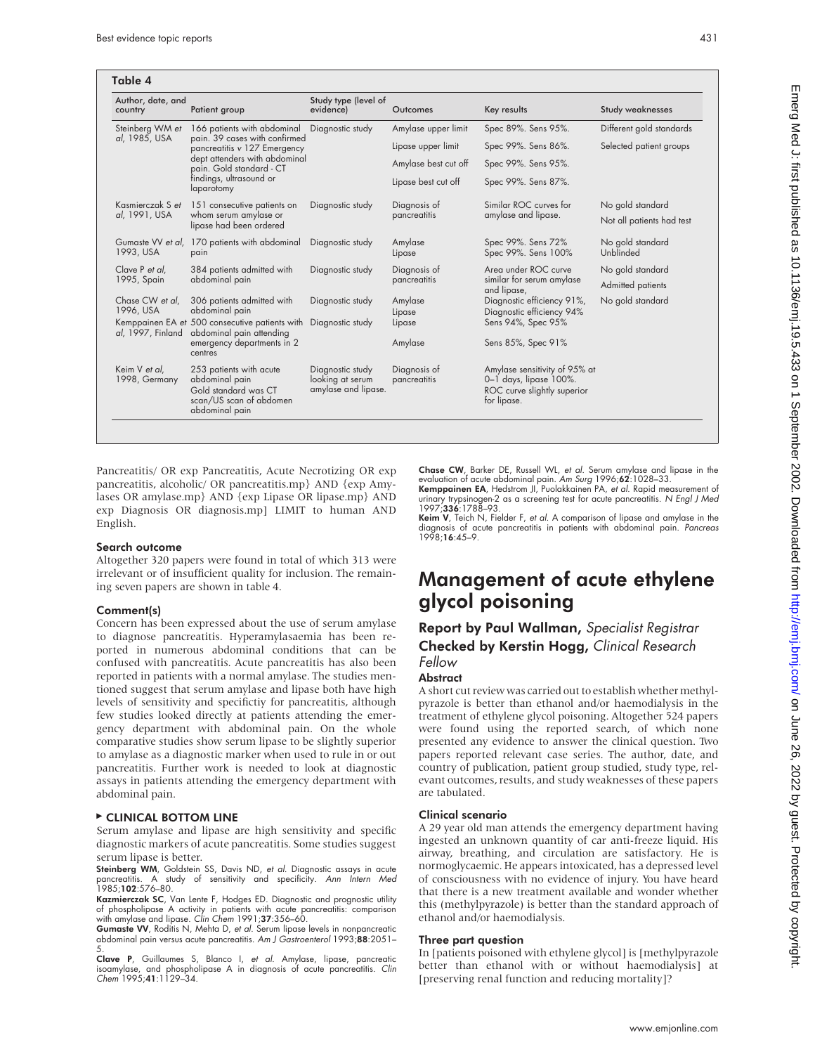| Author, date, and<br>country     | Patient group                                                                                                  | Study type (level of<br>evidence)                           | Outcomes                     | Key results                                                                                           | Study weaknesses              |
|----------------------------------|----------------------------------------------------------------------------------------------------------------|-------------------------------------------------------------|------------------------------|-------------------------------------------------------------------------------------------------------|-------------------------------|
| Steinberg WM et<br>al, 1985, USA | 166 patients with abdominal<br>pain. 39 cases with confirmed<br>pancreatitis v 127 Emergency                   | Diagnostic study                                            | Amylase upper limit          | Spec 89%. Sens 95%.                                                                                   | Different gold standards      |
|                                  |                                                                                                                |                                                             | Lipase upper limit           | Spec 99%. Sens 86%.                                                                                   | Selected patient groups       |
|                                  | dept attenders with abdominal<br>pain. Gold standard - CT                                                      |                                                             | Amylase best cut off         | Spec 99%. Sens 95%.                                                                                   |                               |
|                                  | findings, ultrasound or<br>laparotomy                                                                          |                                                             | Lipase best cut off          | Spec 99%. Sens 87%.                                                                                   |                               |
| Kasmierczak S et                 | 151 consecutive patients on<br>whom serum amylase or<br>lipase had been ordered                                | Diagnostic study                                            | Diagnosis of<br>pancreatitis | Similar ROC curves for<br>amylase and lipase.                                                         | No gold standard              |
| al, 1991, USA                    |                                                                                                                |                                                             |                              |                                                                                                       | Not all patients had test     |
| 1993, USA                        | Gumaste VV et al, 170 patients with abdominal<br>pain                                                          | Diagnostic study                                            | Amylase<br>Lipase            | Spec 99%. Sens 72%<br>Spec 99%. Sens 100%                                                             | No gold standard<br>Unblinded |
| Clave P et al,                   | 384 patients admitted with                                                                                     | Diagnostic study                                            | Diagnosis of                 | Area under ROC curve                                                                                  | No gold standard              |
| 1995, Spain                      | abdominal pain                                                                                                 |                                                             | pancreatitis                 | similar for serum amylase<br>and lipase,                                                              | Admitted patients             |
| Chase CW et al.<br>1996, USA     | 306 patients admitted with<br>abdominal pain                                                                   | Diagnostic study                                            | Amylase<br>Lipase            | Diagnostic efficiency 91%,<br>Diagnostic efficiency 94%                                               | No gold standard              |
| al, 1997, Finland                | Kemppainen EA et 500 consecutive patients with<br>abdominal pain attending                                     | Diagnostic study                                            | Lipase                       | Sens 94%, Spec 95%                                                                                    |                               |
|                                  | emergency departments in 2<br>centres                                                                          |                                                             | Amylase                      | Sens 85%, Spec 91%                                                                                    |                               |
| Keim V et al.<br>1998, Germany   | 253 patients with acute<br>abdominal pain<br>Gold standard was CT<br>scan/US scan of abdomen<br>abdominal pain | Diagnostic study<br>looking at serum<br>amylase and lipase. | Diagnosis of<br>pancreatitis | Amylase sensitivity of 95% at<br>0-1 days, lipase 100%.<br>ROC curve slightly superior<br>for lipase. |                               |

Pancreatitis/ OR exp Pancreatitis, Acute Necrotizing OR exp pancreatitis, alcoholic/ OR pancreatitis.mp} AND {exp Amylases OR amylase.mp} AND {exp Lipase OR lipase.mp} AND exp Diagnosis OR diagnosis.mp] LIMIT to human AND English.

### Search outcome

Altogether 320 papers were found in total of which 313 were irrelevant or of insufficient quality for inclusion. The remaining seven papers are shown in table 4.

### Comment(s)

Concern has been expressed about the use of serum amylase to diagnose pancreatitis. Hyperamylasaemia has been reported in numerous abdominal conditions that can be confused with pancreatitis. Acute pancreatitis has also been reported in patients with a normal amylase. The studies mentioned suggest that serum amylase and lipase both have high levels of sensitivity and specifictiy for pancreatitis, although few studies looked directly at patients attending the emergency department with abdominal pain. On the whole comparative studies show serum lipase to be slightly superior to amylase as a diagnostic marker when used to rule in or out pancreatitis. Further work is needed to look at diagnostic assays in patients attending the emergency department with abdominal pain.

### $\triangleright$  CLINICAL BOTTOM LINE

Serum amylase and lipase are high sensitivity and specific diagnostic markers of acute pancreatitis. Some studies suggest serum lipase is better.

Steinberg WM, Goldstein SS, Davis ND, et al. Diagnostic assays in acute pancreatitis. A study of sensitivity and specificity. Ann Intern Med 1985;102:576–80.

Kazmierczak SC, Van Lente F, Hodges ED. Diagnostic and prognostic utility of phospholipase A activity in patients with acute pancreatitis: comparison<br>with amylase and lipase. Cli*n* Chem 1991;**37**:356–60.

Gumaste VV, Roditis N, Mehta D, et al. Serum lipase levels in nonpancreatic abdominal pain versus acute pancreatitis. Am J Gastroenterol 1993;88:2051-

5.<br>**Clave P**, Guillaumes S, Blanco I, et al. Amylase, lipase, pancreatic isoamylase, and phospholipase A in diagnosis of acute pancreatitis. Clin Chem 1995:41:1129-34.

Chase CW, Barker DE, Russell WL, et al. Serum amylase and lipase in the evaluation of acute abdominal pain. A*m Surg* 1996;**62**:1028–33.<br>**Kemppainen EA**, Hedstrom JI, Puolakkainen PA, *et al*. Rapid measurement of urinary trypsinogen-2 as a screening test for acute pancreatitis. N Engl J Med

1997;336:1788–93.<br>Keim V, Teich N, Fielder F, et al. A comparison of lipase and amylase in the **Keim V**, Teich N, Fielder F, *et al*. A comparison of lipase and amylase in the<br>diagnosis of acute pancreatitis in patients with abdominal pain. *Pancreas*<br>1998;**16**:45–9.

# Management of acute ethylene glycol poisoning

# Report by Paul Wallman, Specialist Registrar Checked by Kerstin Hogg, Clinical Research Fellow

### **Abstract**

A short cut review was carried out to establish whether methylpyrazole is better than ethanol and/or haemodialysis in the treatment of ethylene glycol poisoning. Altogether 524 papers were found using the reported search, of which none presented any evidence to answer the clinical question. Two papers reported relevant case series. The author, date, and country of publication, patient group studied, study type, relevant outcomes, results, and study weaknesses of these papers are tabulated.

### Clinical scenario

A 29 year old man attends the emergency department having ingested an unknown quantity of car anti-freeze liquid. His airway, breathing, and circulation are satisfactory. He is normoglycaemic. He appears intoxicated, has a depressed level of consciousness with no evidence of injury. You have heard that there is a new treatment available and wonder whether this (methylpyrazole) is better than the standard approach of ethanol and/or haemodialysis.

### Three part question

In [patients poisoned with ethylene glycol] is [methylpyrazole better than ethanol with or without haemodialysis] at [preserving renal function and reducing mortality]?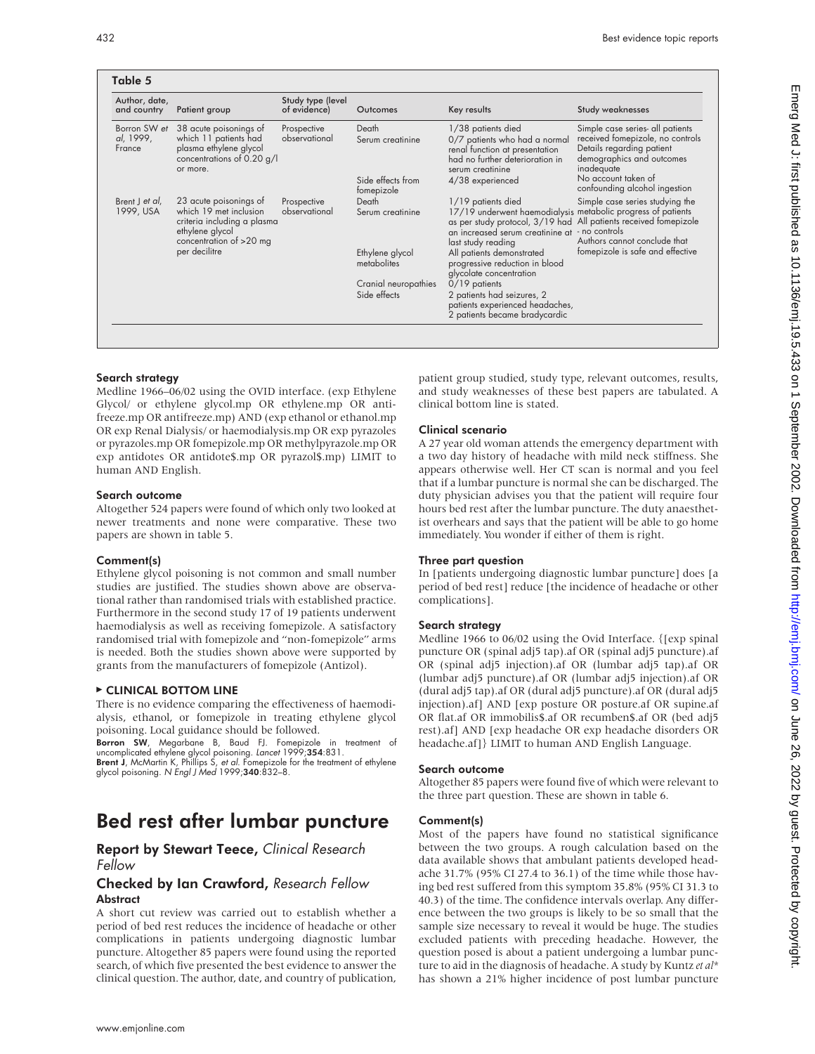| Author, date,<br>and country        | Patient group                                                                                                                 | Study type (level<br>of evidence) | Outcomes                                                                               | Key results                                                                                                                                                                                                      | Study weaknesses                                                                                                                             |
|-------------------------------------|-------------------------------------------------------------------------------------------------------------------------------|-----------------------------------|----------------------------------------------------------------------------------------|------------------------------------------------------------------------------------------------------------------------------------------------------------------------------------------------------------------|----------------------------------------------------------------------------------------------------------------------------------------------|
| Borron SW et<br>al, 1999,<br>France | 38 acute poisonings of<br>which 11 patients had<br>plasma ethylene glycol<br>concentrations of 0.20 g/l<br>or more.           | Prospective<br>observational      | Death<br>Serum creatinine                                                              | 1/38 patients died<br>0/7 patients who had a normal<br>renal function at presentation<br>had no further deterioration in<br>serum creatinine                                                                     | Simple case series- all patients<br>received fomepizole, no controls<br>Details regarding patient<br>demographics and outcomes<br>inadequate |
|                                     |                                                                                                                               |                                   | Side effects from<br>fomepizole                                                        | 4/38 experienced                                                                                                                                                                                                 | No account taken of<br>confounding alcohol ingestion                                                                                         |
| Brent J et al,<br>1999, USA         | 23 acute poisonings of<br>which 19 met inclusion<br>criteria including a plasma<br>ethylene glycol<br>concentration of >20 mg | Prospective<br>observational      | Death<br>Serum creatinine                                                              | 1/19 patients died<br>17/19 underwent haemodialysis metabolic progress of patients<br>as per study protocol, 3/19 had All patients received fomepizole<br>an increased serum creatinine at<br>last study reading | Simple case series studying the<br>- no controls<br>Authors cannot conclude that                                                             |
| per decilitre                       |                                                                                                                               | Ethylene glycol<br>metabolites    | All patients demonstrated<br>progressive reduction in blood<br>glycolate concentration | fomepizole is safe and effective                                                                                                                                                                                 |                                                                                                                                              |
|                                     |                                                                                                                               |                                   | Cranial neuropathies                                                                   | $0/19$ patients                                                                                                                                                                                                  |                                                                                                                                              |
|                                     |                                                                                                                               |                                   | Side effects                                                                           | 2 patients had seizures, 2<br>patients experienced headaches,<br>2 patients became bradycardic                                                                                                                   |                                                                                                                                              |

## Search strategy

Medline 1966–06/02 using the OVID interface. (exp Ethylene Glycol/ or ethylene glycol.mp OR ethylene.mp OR antifreeze.mp OR antifreeze.mp) AND (exp ethanol or ethanol.mp OR exp Renal Dialysis/ or haemodialysis.mp OR exp pyrazoles or pyrazoles.mp OR fomepizole.mp OR methylpyrazole.mp OR exp antidotes OR antidote\$.mp OR pyrazol\$.mp) LIMIT to human AND English.

### Search outcome

Altogether 524 papers were found of which only two looked at newer treatments and none were comparative. These two papers are shown in table 5.

### Comment(s)

Ethylene glycol poisoning is not common and small number studies are justified. The studies shown above are observational rather than randomised trials with established practice. Furthermore in the second study 17 of 19 patients underwent haemodialysis as well as receiving fomepizole. A satisfactory randomised trial with fomepizole and "non-fomepizole" arms is needed. Both the studies shown above were supported by grants from the manufacturers of fomepizole (Antizol).

### $\triangleright$  CLINICAL BOTTOM LINE

There is no evidence comparing the effectiveness of haemodialysis, ethanol, or fomepizole in treating ethylene glycol poisoning. Local guidance should be followed.

Borron SW, Megarbane B, Baud FJ. Fomepizole in treatment of uncomplicated ethylene glycol poisoning*. Lancet* 1999;3**54**:831.<br>**Brent J,** McMartin K, Phillips S, *et al.* Fomepizole for the treatment of ethylene

glycol poisoning. N Engl J Med 1999;340:832-8.

# Bed rest after lumbar puncture

# Report by Stewart Teece, Clinical Research Fellow

### Checked by Ian Crawford, Research Fellow **Abstract**

A short cut review was carried out to establish whether a period of bed rest reduces the incidence of headache or other complications in patients undergoing diagnostic lumbar puncture. Altogether 85 papers were found using the reported search, of which five presented the best evidence to answer the clinical question. The author, date, and country of publication,

patient group studied, study type, relevant outcomes, results, and study weaknesses of these best papers are tabulated. A clinical bottom line is stated.

### Clinical scenario

A 27 year old woman attends the emergency department with a two day history of headache with mild neck stiffness. She appears otherwise well. Her CT scan is normal and you feel that if a lumbar puncture is normal she can be discharged. The duty physician advises you that the patient will require four hours bed rest after the lumbar puncture. The duty anaesthetist overhears and says that the patient will be able to go home immediately. You wonder if either of them is right.

### Three part question

In [patients undergoing diagnostic lumbar puncture] does [a period of bed rest] reduce [the incidence of headache or other complications].

### Search strategy

Medline 1966 to 06/02 using the Ovid Interface. {[exp spinal puncture OR (spinal adj5 tap).af OR (spinal adj5 puncture).af OR (spinal adj5 injection).af OR (lumbar adj5 tap).af OR (lumbar adj5 puncture).af OR (lumbar adj5 injection).af OR (dural adj5 tap).af OR (dural adj5 puncture).af OR (dural adj5 injection).af] AND [exp posture OR posture.af OR supine.af OR flat.af OR immobilis\$.af OR recumben\$.af OR (bed adj5 rest).af] AND [exp headache OR exp headache disorders OR headache.af]} LIMIT to human AND English Language.

### Search outcome

Altogether 85 papers were found five of which were relevant to the three part question. These are shown in table 6.

### Comment(s)

Most of the papers have found no statistical significance between the two groups. A rough calculation based on the data available shows that ambulant patients developed headache 31.7% (95% CI 27.4 to 36.1) of the time while those having bed rest suffered from this symptom 35.8% (95% CI 31.3 to 40.3) of the time. The confidence intervals overlap. Any difference between the two groups is likely to be so small that the sample size necessary to reveal it would be huge. The studies excluded patients with preceding headache. However, the question posed is about a patient undergoing a lumbar puncture to aid in the diagnosis of headache. A study by Kuntz *et al*\* has shown a 21% higher incidence of post lumbar puncture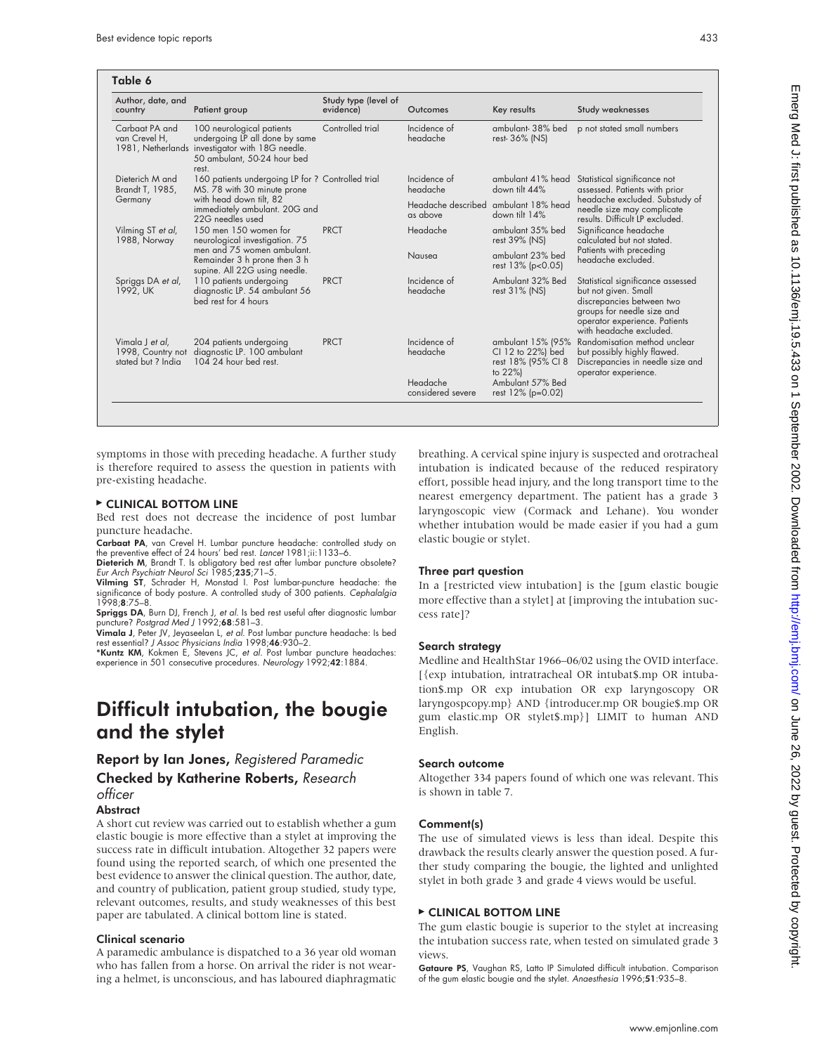| Author, date, and<br>country                                                                 | Patient group                                                                                                                                          | Study type (level of<br>evidence)                | Outcomes                          | Key results                                                                                     | Study weaknesses                                                                                                                                                                 |
|----------------------------------------------------------------------------------------------|--------------------------------------------------------------------------------------------------------------------------------------------------------|--------------------------------------------------|-----------------------------------|-------------------------------------------------------------------------------------------------|----------------------------------------------------------------------------------------------------------------------------------------------------------------------------------|
| Carbaat PA and<br>van Crevel H,                                                              | 100 neurological patients<br>undergoing LP all done by same<br>1981, Netherlands investigator with 18G needle.<br>50 ambulant, 50-24 hour bed<br>rest. | Controlled trial                                 | Incidence of<br>headache          | ambulant-38% bed<br>rest- 36% (NS)                                                              | p not stated small numbers                                                                                                                                                       |
| Dieterich M and<br>Brandt T, 1985,                                                           | 160 patients undergoing LP for ? Controlled trial<br>MS. 78 with 30 minute prone                                                                       |                                                  | Incidence of<br>headache          | ambulant 41% head<br>down tilt $44%$                                                            | Statistical significance not<br>assessed. Patients with prior                                                                                                                    |
| Germany                                                                                      | with head down tilt, 82<br>immediately ambulant. 20G and<br>22G needles used                                                                           | Headache described ambulant 18% head<br>as above | down tilt $14%$                   | headache excluded. Substudy of<br>needle size may complicate<br>results. Difficult LP excluded. |                                                                                                                                                                                  |
| 150 men 150 women for<br>Vilming ST et al,<br>neurological investigation. 75<br>1988, Norway | <b>PRCT</b>                                                                                                                                            | Headache                                         | ambulant 35% bed<br>rest 39% (NS) | Significance headache<br>calculated but not stated.                                             |                                                                                                                                                                                  |
|                                                                                              | men and 75 women ambulant.<br>Remainder 3 h prone then 3 h<br>supine. All 22G using needle.                                                            |                                                  | Nausea                            | ambulant 23% bed<br>rest 13% (p<0.05)                                                           | Patients with preceding<br>headache excluded.                                                                                                                                    |
| Spriggs DA et al,<br>1992, UK                                                                | 110 patients undergoing<br>diagnostic LP. 54 ambulant 56<br>bed rest for 4 hours                                                                       | <b>PRCT</b>                                      | Incidence of<br>headache          | Ambulant 32% Bed<br>rest 31% (NS)                                                               | Statistical significance assessed<br>but not given. Small<br>discrepancies between two<br>groups for needle size and<br>operator experience. Patients<br>with headache excluded. |
| Vimala J et al,<br>stated but ? India                                                        | 204 patients undergoing<br>1998, Country not diagnostic LP. 100 ambulant<br>$10424$ hour bed rest.                                                     | <b>PRCT</b>                                      | Incidence of<br>headache          | ambulant 15% (95%<br>CI 12 to 22%) bed<br>rest 18% (95% CI 8<br>to $22\%$                       | Randomisation method unclear<br>but possibly highly flawed.<br>Discrepancies in needle size and<br>operator experience.                                                          |
|                                                                                              |                                                                                                                                                        |                                                  | Headache<br>considered severe     | Ambulant 57% Bed<br>rest 12% (p=0.02)                                                           |                                                                                                                                                                                  |

symptoms in those with preceding headache. A further study is therefore required to assess the question in patients with pre-existing headache.

### $\triangleright$  CLINICAL BOTTOM LINE

Bed rest does not decrease the incidence of post lumbar puncture headache.

Carbaat PA, van Crevel H. Lumbar puncture headache: controlled study on the preventive effect of 24 hours' bed rest. Lancet 1981;ii:1133-6. Dieterich M, Brandt T. Is obligatory bed rest after lumbar puncture obsolete?

Eur Arch Psychiatr Neurol Sci 1985;235;71–5.

Vilming ST, Schrader H, Monstad I. Post lumbar-puncture headache: the significance of body posture. A controlled study of 300 patients. Cephalalgia 1998;8:75–8.

**Spriggs DA**, Burn DJ, French J, *et al.* Is bed rest useful after diagnostic lumbar<br>puncture? *Postgrad Med J* 1992;**68**:581–3.<br>**Vimala J**, Peter JV, Jeyaseelan L, *et al.* Post lumbar puncture headache: Is bed

rest essential? J Assoc Physicians India 1998;46:930–2. \*Kuntz KM, Kokmen E, Stevens JC, et al. Post lumbar puncture headaches:

experience in 501 consecutive procedures. Neurology 1992;42:1884.

# Difficult intubation, the bougie and the stylet

## Report by Ian Jones, Registered Paramedic

# Checked by Katherine Roberts, Research officer

### **Abstract**

A short cut review was carried out to establish whether a gum elastic bougie is more effective than a stylet at improving the success rate in difficult intubation. Altogether 32 papers were found using the reported search, of which one presented the best evidence to answer the clinical question. The author, date, and country of publication, patient group studied, study type, relevant outcomes, results, and study weaknesses of this best paper are tabulated. A clinical bottom line is stated.

### Clinical scenario

A paramedic ambulance is dispatched to a 36 year old woman who has fallen from a horse. On arrival the rider is not wearing a helmet, is unconscious, and has laboured diaphragmatic

breathing. A cervical spine injury is suspected and orotracheal intubation is indicated because of the reduced respiratory effort, possible head injury, and the long transport time to the nearest emergency department. The patient has a grade 3 laryngoscopic view (Cormack and Lehane). You wonder whether intubation would be made easier if you had a gum elastic bougie or stylet.

## Three part question

In a [restricted view intubation] is the [gum elastic bougie more effective than a stylet] at [improving the intubation success rate]?

### Search strategy

Medline and HealthStar 1966–06/02 using the OVID interface. [{exp intubation, intratracheal OR intubat\$.mp OR intubation\$.mp OR exp intubation OR exp laryngoscopy OR laryngospcopy.mp} AND {introducer.mp OR bougie\$.mp OR gum elastic.mp OR stylet\$.mp}] LIMIT to human AND English.

### Search outcome

Altogether 334 papers found of which one was relevant. This is shown in table 7.

### Comment(s)

The use of simulated views is less than ideal. Despite this drawback the results clearly answer the question posed. A further study comparing the bougie, the lighted and unlighted stylet in both grade 3 and grade 4 views would be useful.

### $\triangleright$  CLINICAL BOTTOM LINE

The gum elastic bougie is superior to the stylet at increasing the intubation success rate, when tested on simulated grade 3 views.

Gataure PS, Vaughan RS, Latto IP Simulated difficult intubation. Comparison of the gum elastic bougie and the stylet. Anaesthesia 1996;51:935–8.